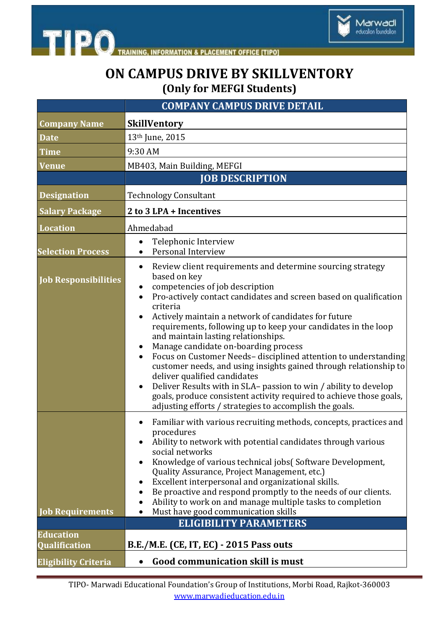

**INFORMATION & PLACEMENT OFFICE [TIPO]** 

**TIPO** 

## **ON CAMPUS DRIVE BY SKILLVENTORY (Only for MEFGI Students)**

|                                             | <b>COMPANY CAMPUS DRIVE DETAIL</b>                                                                                                                                                                                                                                                                                                                                                                                                                                                                                                                                                                                                                                                                                                                                                                                  |
|---------------------------------------------|---------------------------------------------------------------------------------------------------------------------------------------------------------------------------------------------------------------------------------------------------------------------------------------------------------------------------------------------------------------------------------------------------------------------------------------------------------------------------------------------------------------------------------------------------------------------------------------------------------------------------------------------------------------------------------------------------------------------------------------------------------------------------------------------------------------------|
| <b>Company Name</b>                         | <b>SkillVentory</b>                                                                                                                                                                                                                                                                                                                                                                                                                                                                                                                                                                                                                                                                                                                                                                                                 |
| <b>Date</b>                                 | 13th June, 2015                                                                                                                                                                                                                                                                                                                                                                                                                                                                                                                                                                                                                                                                                                                                                                                                     |
| <b>Time</b>                                 | 9:30 AM                                                                                                                                                                                                                                                                                                                                                                                                                                                                                                                                                                                                                                                                                                                                                                                                             |
| <b>Venue</b>                                | MB403, Main Building, MEFGI                                                                                                                                                                                                                                                                                                                                                                                                                                                                                                                                                                                                                                                                                                                                                                                         |
|                                             | <b>JOB DESCRIPTION</b>                                                                                                                                                                                                                                                                                                                                                                                                                                                                                                                                                                                                                                                                                                                                                                                              |
| <b>Designation</b>                          | <b>Technology Consultant</b>                                                                                                                                                                                                                                                                                                                                                                                                                                                                                                                                                                                                                                                                                                                                                                                        |
| <b>Salary Package</b>                       | 2 to 3 LPA + Incentives                                                                                                                                                                                                                                                                                                                                                                                                                                                                                                                                                                                                                                                                                                                                                                                             |
| <b>Location</b>                             | Ahmedabad                                                                                                                                                                                                                                                                                                                                                                                                                                                                                                                                                                                                                                                                                                                                                                                                           |
| <b>Selection Process</b>                    | Telephonic Interview<br>Personal Interview                                                                                                                                                                                                                                                                                                                                                                                                                                                                                                                                                                                                                                                                                                                                                                          |
| <b>Job Responsibilities</b>                 | Review client requirements and determine sourcing strategy<br>٠<br>based on key<br>competencies of job description<br>Pro-actively contact candidates and screen based on qualification<br>$\bullet$<br>criteria<br>Actively maintain a network of candidates for future<br>requirements, following up to keep your candidates in the loop<br>and maintain lasting relationships.<br>Manage candidate on-boarding process<br>Focus on Customer Needs-disciplined attention to understanding<br>customer needs, and using insights gained through relationship to<br>deliver qualified candidates<br>Deliver Results with in SLA- passion to win / ability to develop<br>$\bullet$<br>goals, produce consistent activity required to achieve those goals,<br>adjusting efforts / strategies to accomplish the goals. |
| <b>Job Requirements</b><br><b>Education</b> | Familiar with various recruiting methods, concepts, practices and<br>$\bullet$<br>procedures<br>Ability to network with potential candidates through various<br>social networks<br>Knowledge of various technical jobs(Software Development,<br>Quality Assurance, Project Management, etc.)<br>Excellent interpersonal and organizational skills.<br>Be proactive and respond promptly to the needs of our clients.<br>Ability to work on and manage multiple tasks to completion<br>Must have good communication skills<br>$\bullet$<br><b>ELIGIBILITY PARAMETERS</b>                                                                                                                                                                                                                                             |
| <b>Qualification</b>                        | B.E./M.E. (CE, IT, EC) - 2015 Pass outs                                                                                                                                                                                                                                                                                                                                                                                                                                                                                                                                                                                                                                                                                                                                                                             |
| <b>Eligibility Criteria</b>                 | <b>Good communication skill is must</b>                                                                                                                                                                                                                                                                                                                                                                                                                                                                                                                                                                                                                                                                                                                                                                             |

TIPO- Marwadi Educational Foundation's Group of Institutions, Morbi Road, Rajkot-360003 www.marwadieducation.edu.in